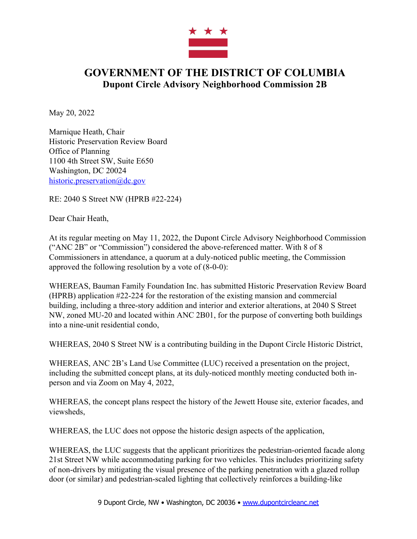

## **GOVERNMENT OF THE DISTRICT OF COLUMBIA Dupont Circle Advisory Neighborhood Commission 2B**

May 20, 2022

Marnique Heath, Chair Historic Preservation Review Board Office of Planning 1100 4th Street SW, Suite E650 Washington, DC 20024 historic.preservation@dc.gov

RE: 2040 S Street NW (HPRB #22-224)

Dear Chair Heath,

At its regular meeting on May 11, 2022, the Dupont Circle Advisory Neighborhood Commission ("ANC 2B" or "Commission") considered the above-referenced matter. With 8 of 8 Commissioners in attendance, a quorum at a duly-noticed public meeting, the Commission approved the following resolution by a vote of (8-0-0):

WHEREAS, Bauman Family Foundation Inc. has submitted Historic Preservation Review Board (HPRB) application #22-224 for the restoration of the existing mansion and commercial building, including a three-story addition and interior and exterior alterations, at 2040 S Street NW, zoned MU-20 and located within ANC 2B01, for the purpose of converting both buildings into a nine-unit residential condo,

WHEREAS, 2040 S Street NW is a contributing building in the Dupont Circle Historic District,

WHEREAS, ANC 2B's Land Use Committee (LUC) received a presentation on the project, including the submitted concept plans, at its duly-noticed monthly meeting conducted both inperson and via Zoom on May 4, 2022,

WHEREAS, the concept plans respect the history of the Jewett House site, exterior facades, and viewsheds,

WHEREAS, the LUC does not oppose the historic design aspects of the application,

WHEREAS, the LUC suggests that the applicant prioritizes the pedestrian-oriented facade along 21st Street NW while accommodating parking for two vehicles. This includes prioritizing safety of non-drivers by mitigating the visual presence of the parking penetration with a glazed rollup door (or similar) and pedestrian-scaled lighting that collectively reinforces a building-like